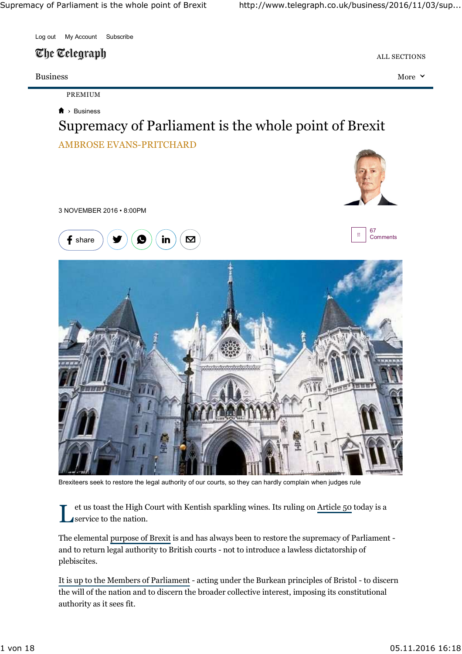

### The Telegraph

#### Business More

PREMIUM

#### › Business

# AMBROSE EVANS-PRITCHARD Supremacy of Parliament is the whole point of Brexit







ALL SECTIONS





Brexiteers seek to restore the legal authority of our courts, so they can hardly complain when judges rule

L et us toast the High Court with Kentish sparkling wines. Its ruling on Article 50 today is a service to the nation.

The elemental purpose of Brexit is and has always been to restore the supremacy of Parliament and to return legal authority to British courts - not to introduce a lawless dictatorship of plebiscites.

It is up to the Members of Parliament - acting under the Burkean principles of Bristol - to discern the will of the nation and to discern the broader collective interest, imposing its constitutional authority as it sees fit.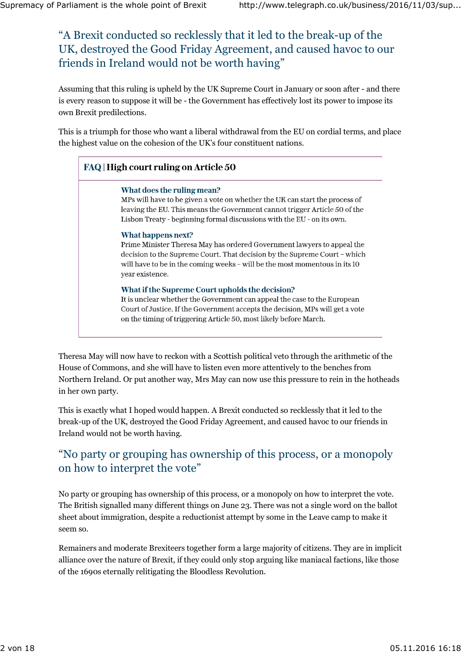# A Brexit conducted so recklessly that it led to the break-up of the " UK, destroyed the Good Friday Agreement, and caused havoc to our friends in Ireland would not be worth having "

Assuming that this ruling is upheld by the UK Supreme Court in January or soon after - and there is every reason to suppose it will be - the Government has effectively lost its power to impose its own Brexit predilections.

This is a triumph for those who want a liberal withdrawal from the EU on cordial terms, and place the highest value on the cohesion of the UK's four constituent nations.

### FAQ | High court ruling on Article 50

#### What does the ruling mean?

MPs will have to be given a vote on whether the UK can start the process of leaving the EU. This means the Government cannot trigger Article 50 of the Lisbon Treaty - beginning formal discussions with the EU - on its own.

#### What happens next?

Prime Minister Theresa May has ordered Government lawyers to appeal the decision to the Supreme Court. That decision by the Supreme Court - which will have to be in the coming weeks - will be the most momentous in its 10 year existence.

#### What if the Supreme Court upholds the decision?

It is unclear whether the Government can appeal the case to the European Court of Justice. If the Government accepts the decision, MPs will get a vote on the timing of triggering Article 50, most likely before March.

Theresa May will now have to reckon with a Scottish political veto through the arithmetic of the House of Commons, and she will have to listen even more attentively to the benches from Northern Ireland. Or put another way, Mrs May can now use this pressure to rein in the hotheads in her own party.

This is exactly what I hoped would happen. A Brexit conducted so recklessly that it led to the break-up of the UK, destroyed the Good Friday Agreement, and caused havoc to our friends in Ireland would not be worth having.

### No party or grouping has ownership of this process, or a monopoly " on how to interpret the vote "

No party or grouping has ownership of this process, or a monopoly on how to interpret the vote. The British signalled many different things on June 23. There was not a single word on the ballot sheet about immigration, despite a reductionist attempt by some in the Leave camp to make it seem so.

Remainers and moderate Brexiteers together form a large majority of citizens. They are in implicit alliance over the nature of Brexit, if they could only stop arguing like maniacal factions, like those of the 1690s eternally relitigating the Bloodless Revolution.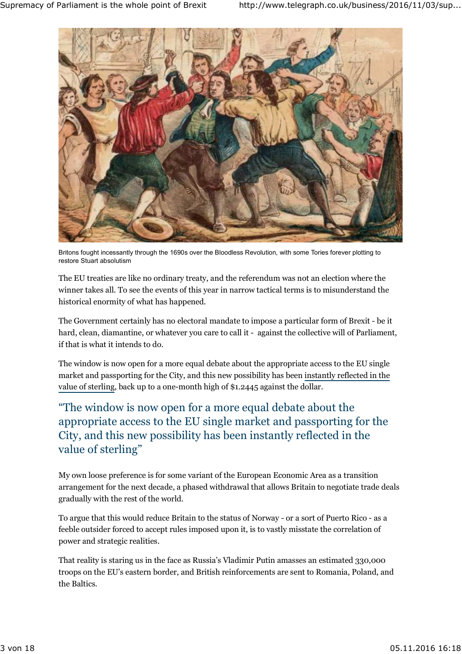

Britons fought incessantly through the 1690s over the Bloodless Revolution, with some Tories forever plotting to restore Stuart absolutism

The EU treaties are like no ordinary treaty, and the referendum was not an election where the winner takes all. To see the events of this year in narrow tactical terms is to misunderstand the historical enormity of what has happened.

The Government certainly has no electoral mandate to impose a particular form of Brexit - be it hard, clean, diamantine, or whatever you care to call it - against the collective will of Parliament, if that is what it intends to do.

The window is now open for a more equal debate about the appropriate access to the EU single market and passporting for the City, and this new possibility has been instantly reflected in the value of sterling, back up to a one-month high of \$1.2445 against the dollar.

## The window is now open for a more equal debate about the " appropriate access to the EU single market and passporting for the City, and this new possibility has been instantly reflected in the value of sterling "

My own loose preference is for some variant of the European Economic Area as a transition arrangement for the next decade, a phased withdrawal that allows Britain to negotiate trade deals gradually with the rest of the world.

To argue that this would reduce Britain to the status of Norway - or a sort of Puerto Rico - as a feeble outsider forced to accept rules imposed upon it, is to vastly misstate the correlation of power and strategic realities.

That reality is staring us in the face as Russia's Vladimir Putin amasses an estimated 330,000 troops on the EU's eastern border, and British reinforcements are sent to Romania, Poland, and the Baltics.